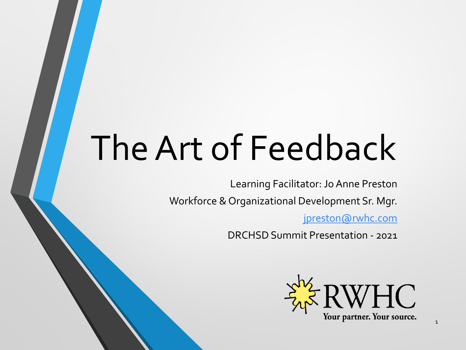# The Art of Feedback

Learning Facilitator: Jo Anne Preston

Workforce & Organizational Development Sr. Mgr.

[jpreston@rwhc.com](mailto:jpreston@rwhc.com)

DRCHSD Summit Presentation - 2021

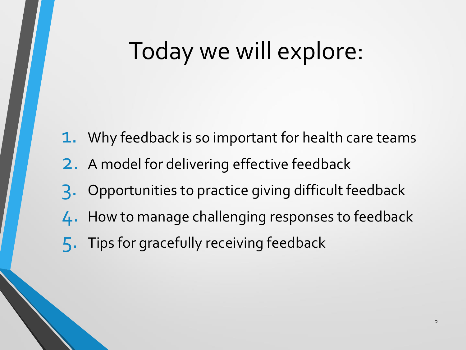### Today we will explore:

- 1. Why feedback is so important for health care teams
- 2. A model for delivering effective feedback
- 3. Opportunities to practice giving difficult feedback
- 4. How to manage challenging responses to feedback
- 5. Tips for gracefully receiving feedback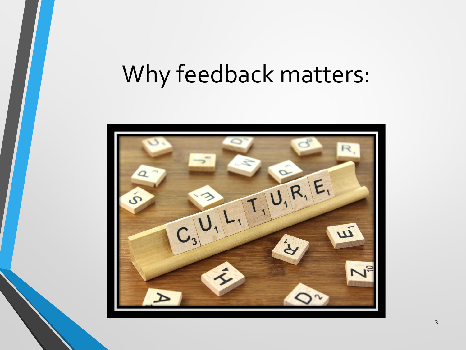### Why feedback matters:

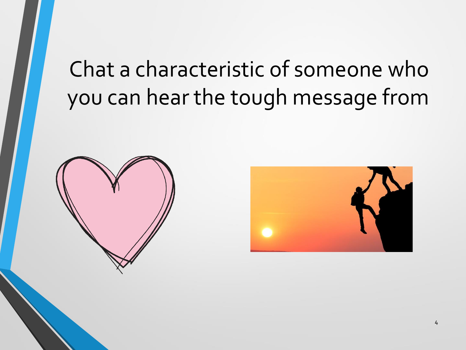### Chat a characteristic of someone who you can hear the tough message from



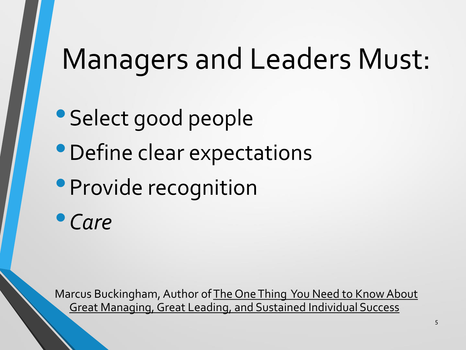# Managers and Leaders Must:

- Select good people
- •Define clear expectations
- **Provide recognition**

•*Care*

Marcus Buckingham, Author of The One Thing You Need to Know About Great Managing, Great Leading, and Sustained Individual Success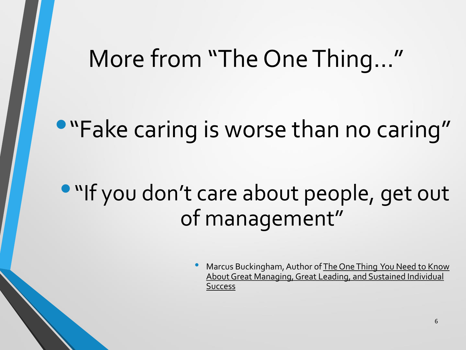### More from "The One Thing…"

### •"Fake caring is worse than no caring"

### **• "If you don't care about people, get out** of management"

Marcus Buckingham, Author of The One Thing You Need to Know About Great Managing, Great Leading, and Sustained Individual **Success**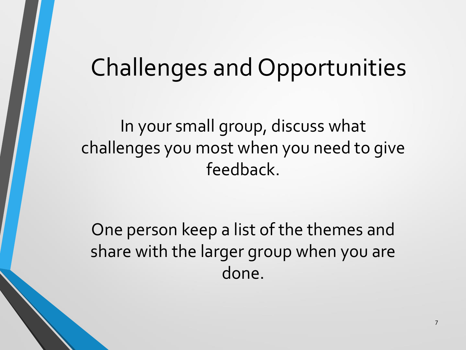### Challenges and Opportunities

In your small group, discuss what challenges you most when you need to give feedback.

One person keep a list of the themes and share with the larger group when you are done.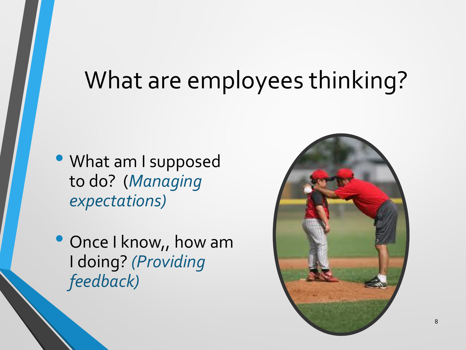### What are employees thinking?

- What am I supposed to do? (*Managing expectations)*
- Once I know,, how am I doing? *(Providing feedback)*

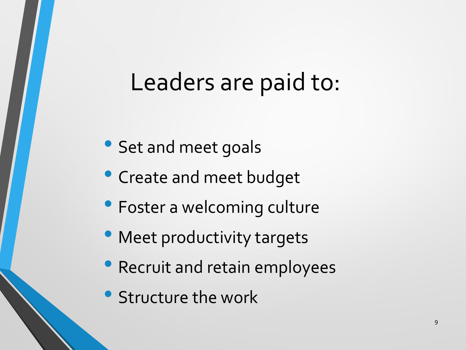### Leaders are paid to:

- Set and meet goals
- Create and meet budget
- Foster a welcoming culture
- Meet productivity targets
- Recruit and retain employees
- Structure the work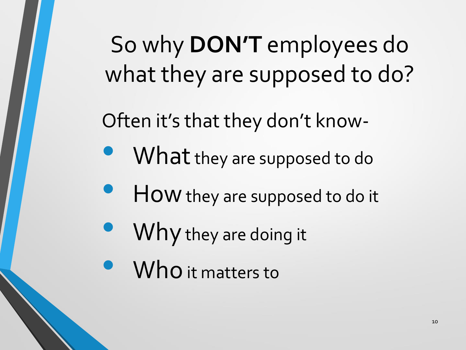# So why **DON'T** employees do what they are supposed to do?

Often it's that they don't know-

- What they are supposed to do
- HOW they are supposed to do it
- Why they are doing it
- **Who** it matters to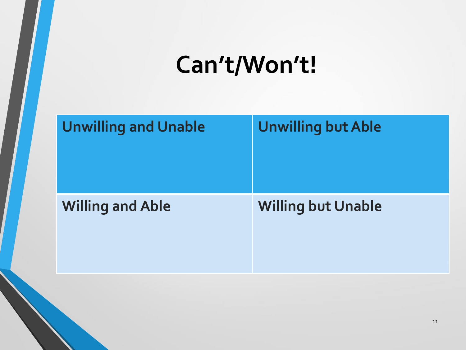# **Can't/Won't!**

|    | <b>Unwilling and Unable</b> | <b>Unwilling but Able</b> |
|----|-----------------------------|---------------------------|
|    | <b>Willing and Able</b>     | <b>Willing but Unable</b> |
| 11 |                             |                           |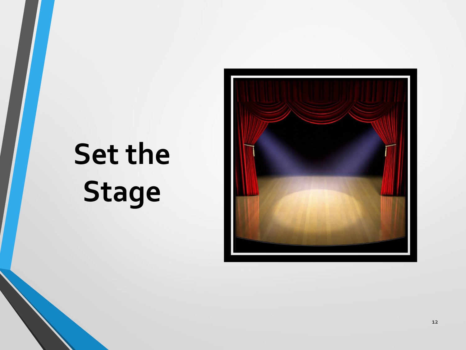# **Set the Stage**

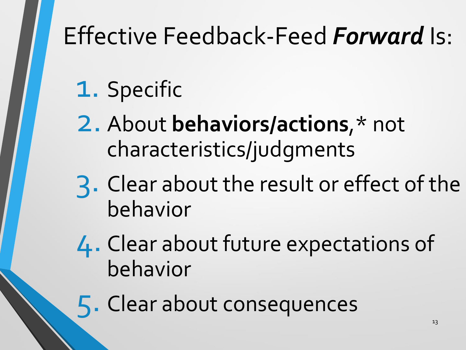# Effective Feedback-Feed *Forward* Is:

# 1. Specific

- 2. About **behaviors/actions**,\* not characteristics/judgments
- 3. Clear about the result or effect of the behavior
- 4. Clear about future expectations of behavior
- 5. Clear about consequences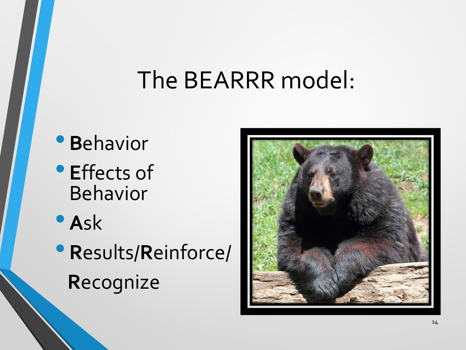### The BEARRR model:

- **<sup>B</sup>**ehavior
- **<sup>E</sup>**ffects of Behavior
- **<sup>A</sup>**sk
- **<sup>R</sup>**esults/**R**einforce/ **R**ecognize

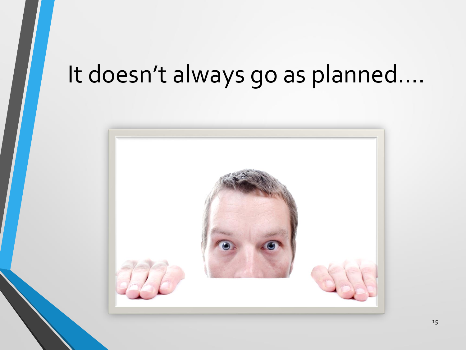### It doesn't always go as planned….

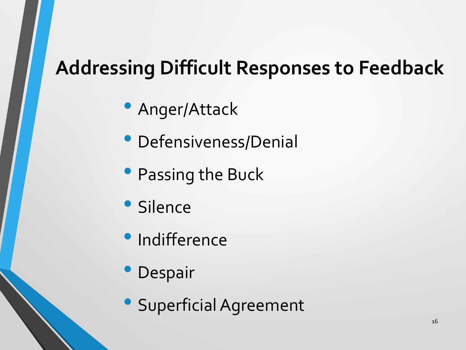#### **Addressing Difficult Responses to Feedback**

- Anger/Attack
- Defensiveness/Denial
- Passing the Buck
- Silence
- Indifference
- Despair
- Superficial Agreement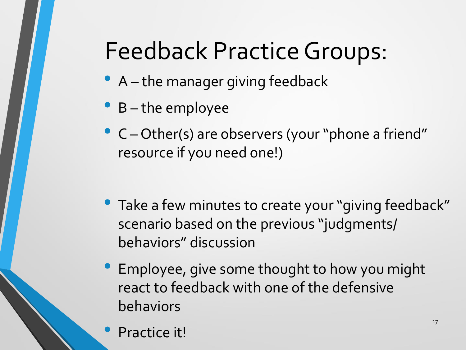# Feedback Practice Groups:

- A the manager giving feedback
- <sup>B</sup> the employee
- <sup>C</sup> Other(s) are observers (your "phone a friend" resource if you need one!)
- Take a few minutes to create your "giving feedback" scenario based on the previous "judgments/ behaviors" discussion
- Employee, give some thought to how you might react to feedback with one of the defensive behaviors
	- Practice it!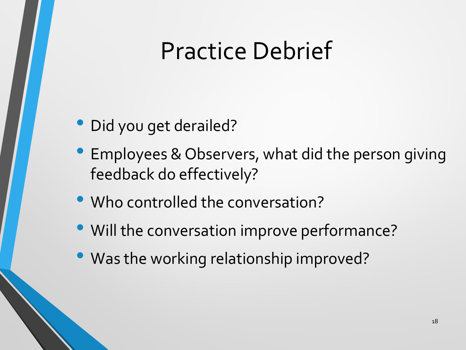### Practice Debrief

- Did you get derailed?
- Employees & Observers, what did the person giving feedback do effectively?
- Who controlled the conversation?
- Will the conversation improve performance?
- Was the working relationship improved?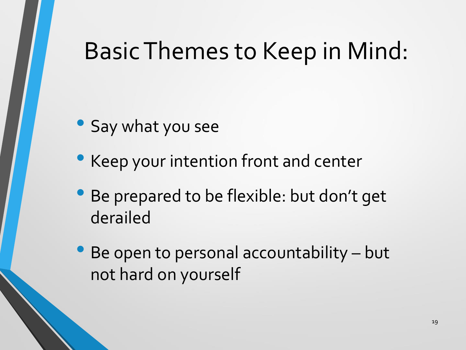### Basic Themes to Keep in Mind:

- Say what you see
- Keep your intention front and center
- Be prepared to be flexible: but don't get derailed
- Be open to personal accountability but not hard on yourself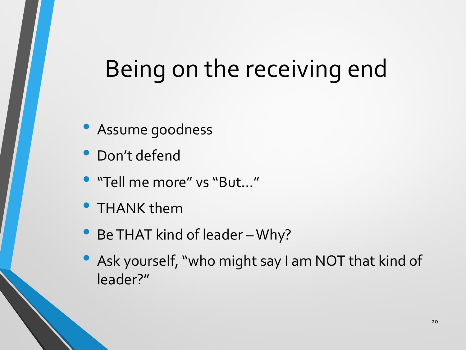### Being on the receiving end

- Assume goodness
- Don't defend
- "Tell me more" vs "But…"
- THANK them
- Be THAT kind of leader Why?
- Ask yourself, "who might say I am NOT that kind of leader?"